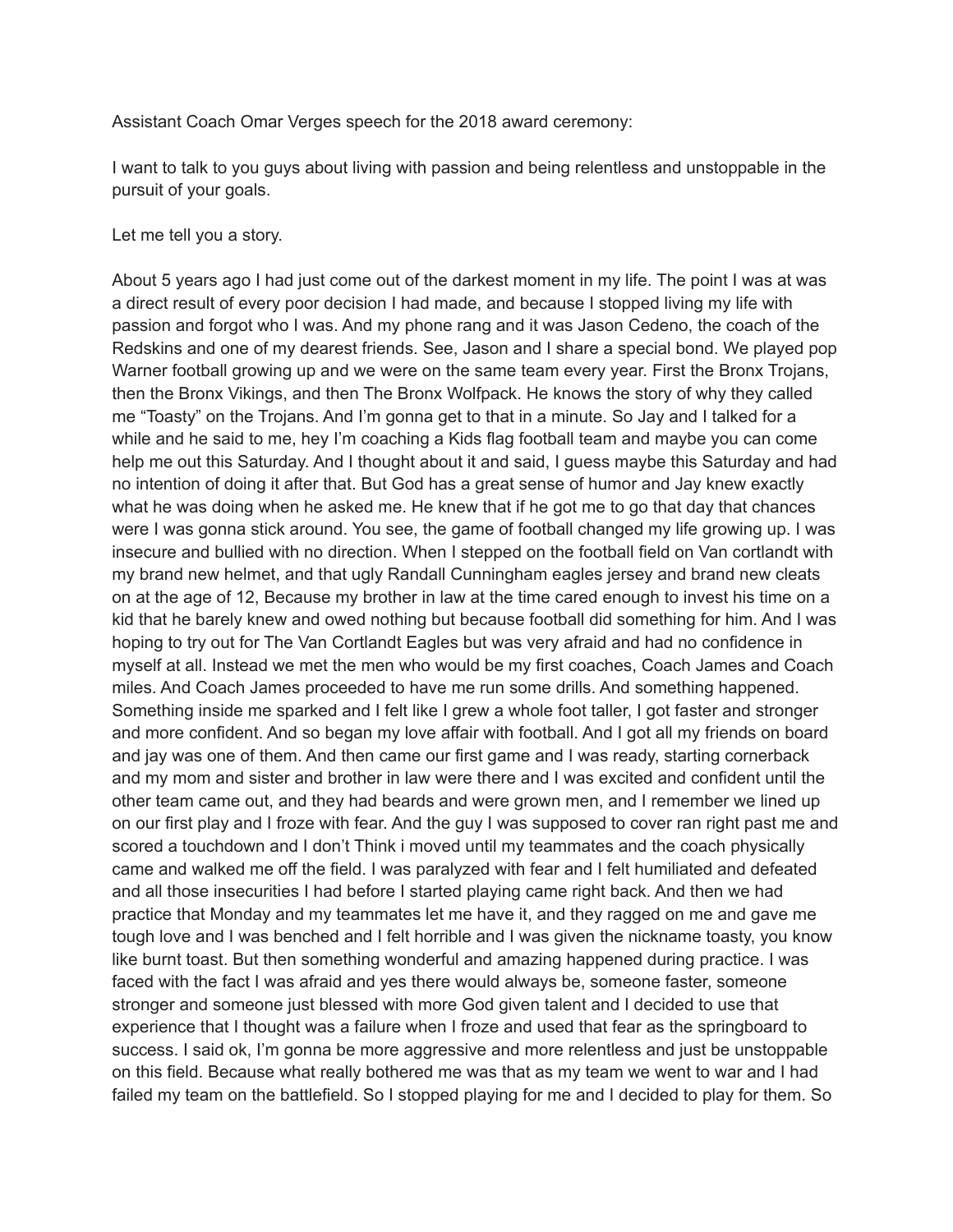Assistant Coach Omar Verges speech for the 2018 award ceremony:

I want to talk to you guys about living with passion and being relentless and unstoppable in the pursuit of your goals.

Let me tell you a story.

About 5 years ago I had just come out of the darkest moment in my life. The point I was at was a direct result of every poor decision I had made, and because I stopped living my life with passion and forgot who I was. And my phone rang and it was Jason Cedeno, the coach of the Redskins and one of my dearest friends. See, Jason and I share a special bond. We played pop Warner football growing up and we were on the same team every year. First the Bronx Trojans, then the Bronx Vikings, and then The Bronx Wolfpack. He knows the story of why they called me "Toasty" on the Trojans. And I'm gonna get to that in a minute. So Jay and I talked for a while and he said to me, hey I'm coaching a Kids flag football team and maybe you can come help me out this Saturday. And I thought about it and said, I guess maybe this Saturday and had no intention of doing it after that. But God has a great sense of humor and Jay knew exactly what he was doing when he asked me. He knew that if he got me to go that day that chances were I was gonna stick around. You see, the game of football changed my life growing up. I was insecure and bullied with no direction. When I stepped on the football field on Van cortlandt with my brand new helmet, and that ugly Randall Cunningham eagles jersey and brand new cleats on at the age of 12, Because my brother in law at the time cared enough to invest his time on a kid that he barely knew and owed nothing but because football did something for him. And I was hoping to try out for The Van Cortlandt Eagles but was very afraid and had no confidence in myself at all. Instead we met the men who would be my first coaches, Coach James and Coach miles. And Coach James proceeded to have me run some drills. And something happened. Something inside me sparked and I felt like I grew a whole foot taller, I got faster and stronger and more confident. And so began my love affair with football. And I got all my friends on board and jay was one of them. And then came our first game and I was ready, starting cornerback and my mom and sister and brother in law were there and I was excited and confident until the other team came out, and they had beards and were grown men, and I remember we lined up on our first play and I froze with fear. And the guy I was supposed to cover ran right past me and scored a touchdown and I don't Think i moved until my teammates and the coach physically came and walked me off the field. I was paralyzed with fear and I felt humiliated and defeated and all those insecurities I had before I started playing came right back. And then we had practice that Monday and my teammates let me have it, and they ragged on me and gave me tough love and I was benched and I felt horrible and I was given the nickname toasty, you know like burnt toast. But then something wonderful and amazing happened during practice. I was faced with the fact I was afraid and yes there would always be, someone faster, someone stronger and someone just blessed with more God given talent and I decided to use that experience that I thought was a failure when I froze and used that fear as the springboard to success. I said ok, I'm gonna be more aggressive and more relentless and just be unstoppable on this field. Because what really bothered me was that as my team we went to war and I had failed my team on the battlefield. So I stopped playing for me and I decided to play for them. So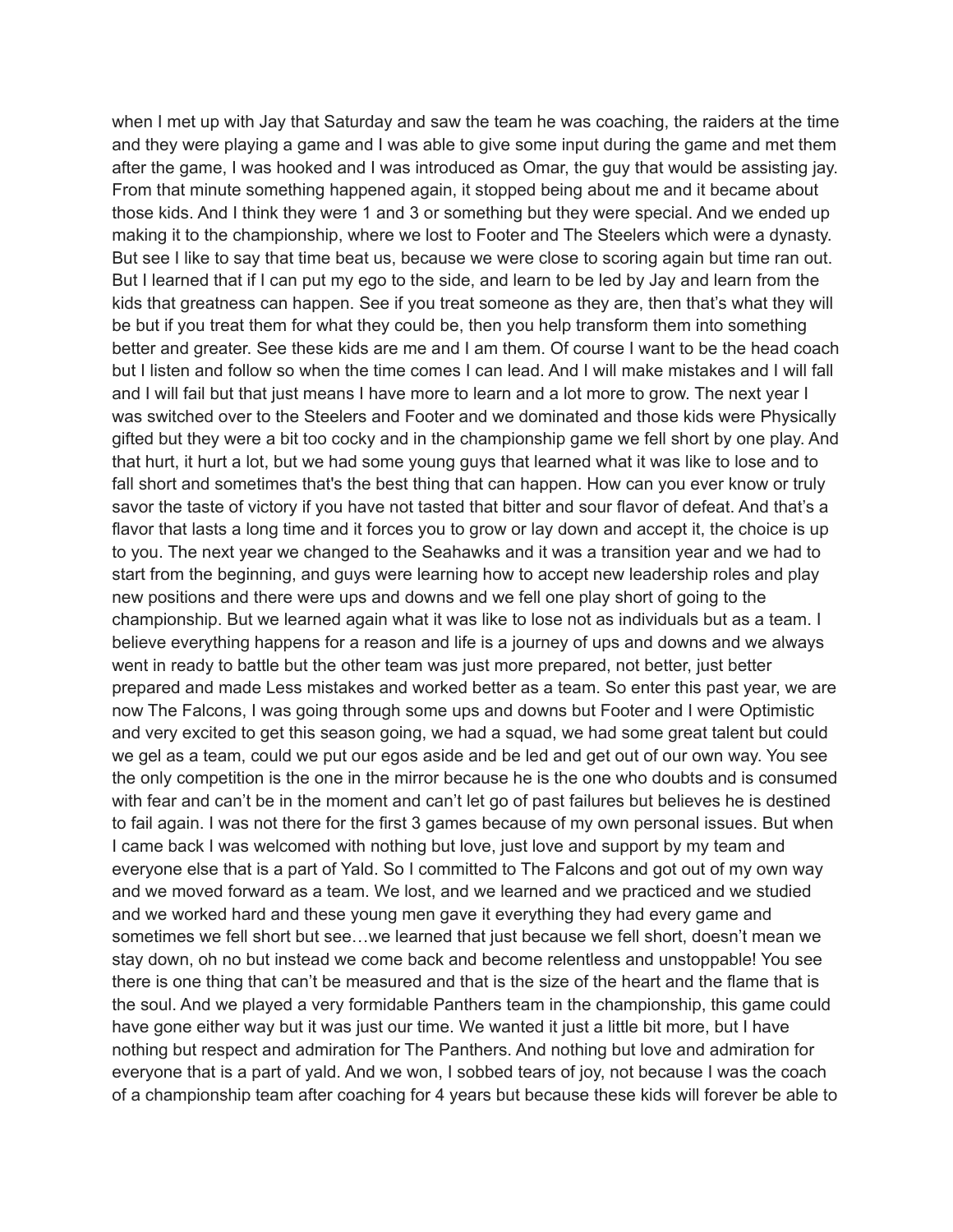when I met up with Jay that Saturday and saw the team he was coaching, the raiders at the time and they were playing a game and I was able to give some input during the game and met them after the game, I was hooked and I was introduced as Omar, the guy that would be assisting jay. From that minute something happened again, it stopped being about me and it became about those kids. And I think they were 1 and 3 or something but they were special. And we ended up making it to the championship, where we lost to Footer and The Steelers which were a dynasty. But see I like to say that time beat us, because we were close to scoring again but time ran out. But I learned that if I can put my ego to the side, and learn to be led by Jay and learn from the kids that greatness can happen. See if you treat someone as they are, then that's what they will be but if you treat them for what they could be, then you help transform them into something better and greater. See these kids are me and I am them. Of course I want to be the head coach but I listen and follow so when the time comes I can lead. And I will make mistakes and I will fall and I will fail but that just means I have more to learn and a lot more to grow. The next year I was switched over to the Steelers and Footer and we dominated and those kids were Physically gifted but they were a bit too cocky and in the championship game we fell short by one play. And that hurt, it hurt a lot, but we had some young guys that learned what it was like to lose and to fall short and sometimes that's the best thing that can happen. How can you ever know or truly savor the taste of victory if you have not tasted that bitter and sour flavor of defeat. And that's a flavor that lasts a long time and it forces you to grow or lay down and accept it, the choice is up to you. The next year we changed to the Seahawks and it was a transition year and we had to start from the beginning, and guys were learning how to accept new leadership roles and play new positions and there were ups and downs and we fell one play short of going to the championship. But we learned again what it was like to lose not as individuals but as a team. I believe everything happens for a reason and life is a journey of ups and downs and we always went in ready to battle but the other team was just more prepared, not better, just better prepared and made Less mistakes and worked better as a team. So enter this past year, we are now The Falcons, I was going through some ups and downs but Footer and I were Optimistic and very excited to get this season going, we had a squad, we had some great talent but could we gel as a team, could we put our egos aside and be led and get out of our own way. You see the only competition is the one in the mirror because he is the one who doubts and is consumed with fear and can't be in the moment and can't let go of past failures but believes he is destined to fail again. I was not there for the first 3 games because of my own personal issues. But when I came back I was welcomed with nothing but love, just love and support by my team and everyone else that is a part of Yald. So I committed to The Falcons and got out of my own way and we moved forward as a team. We lost, and we learned and we practiced and we studied and we worked hard and these young men gave it everything they had every game and sometimes we fell short but see…we learned that just because we fell short, doesn't mean we stay down, oh no but instead we come back and become relentless and unstoppable! You see there is one thing that can't be measured and that is the size of the heart and the flame that is the soul. And we played a very formidable Panthers team in the championship, this game could have gone either way but it was just our time. We wanted it just a little bit more, but I have nothing but respect and admiration for The Panthers. And nothing but love and admiration for everyone that is a part of yald. And we won, I sobbed tears of joy, not because I was the coach of a championship team after coaching for 4 years but because these kids will forever be able to